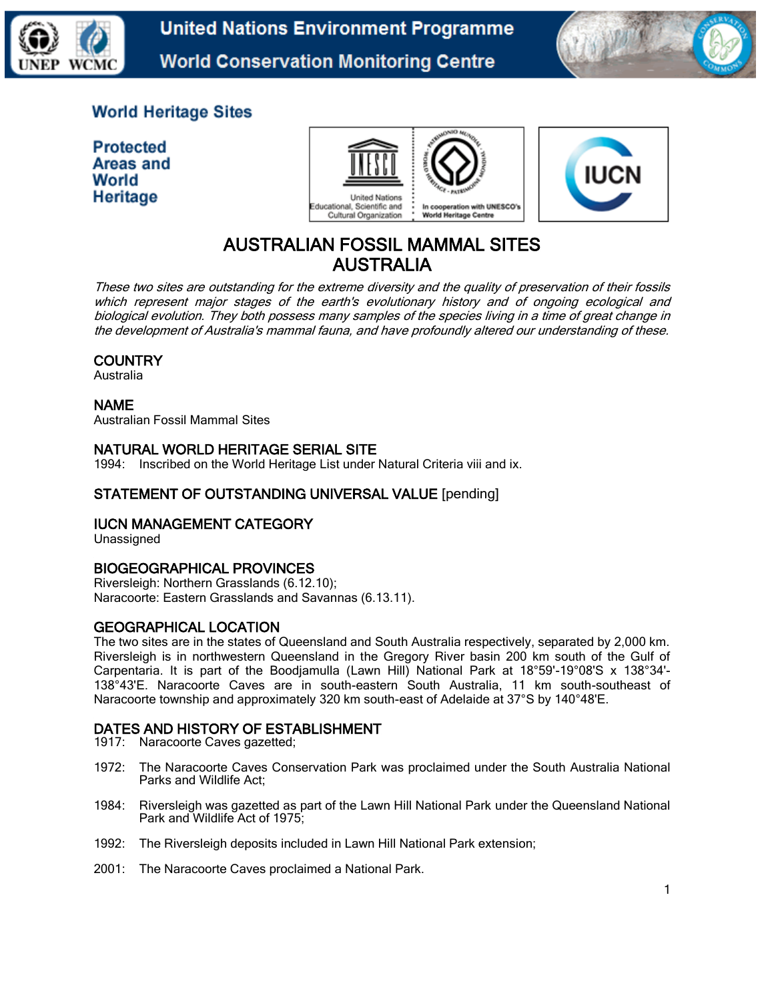

**United Nations Environment Programme World Conservation Monitoring Centre** 



## **World Heritage Sites**

**Protected** Areas and World Heritage





# AUSTRALIAN FOSSIL MAMMAL SITES AUSTRALIA

These two sites are outstanding for the extreme diversity and the quality of preservation of their fossils which represent major stages of the earth's evolutionary history and of ongoing ecological and biological evolution. They both possess many samples of the species living in a time of great change in the development of Australia's mammal fauna, and have profoundly altered our understanding of these.

## **COUNTRY**

Australia

## NAME

Australian Fossil Mammal Sites

## NATURAL WORLD HERITAGE SERIAL SITE

1994: Inscribed on the World Heritage List under Natural Criteria viii and ix.

## STATEMENT OF OUTSTANDING UNIVERSAL VALUE [pending]

## IUCN MANAGEMENT CATEGORY

Unassigned

## BIOGEOGRAPHICAL PROVINCES

Riversleigh: Northern Grasslands (6.12.10); Naracoorte: Eastern Grasslands and Savannas (6.13.11).

#### GEOGRAPHICAL LOCATION

The two sites are in the states of Queensland and South Australia respectively, separated by 2,000 km. Riversleigh is in northwestern Queensland in the Gregory River basin 200 km south of the Gulf of Carpentaria. It is part of the Boodjamulla (Lawn Hill) National Park at 18°59'-19°08'S x 138°34'- 138°43'E. Naracoorte Caves are in south-eastern South Australia, 11 km south-southeast of Naracoorte township and approximately 320 km south-east of Adelaide at 37°S by 140°48'E.

## DATES AND HISTORY OF ESTABLISHMENT

- 1917: Naracoorte Caves gazetted;
- 1972: The Naracoorte Caves Conservation Park was proclaimed under the South Australia National Parks and Wildlife Act;
- 1984: Riversleigh was gazetted as part of the Lawn Hill National Park under the Queensland National Park and Wildlife Act of 1975;
- 1992: The Riversleigh deposits included in Lawn Hill National Park extension;
- 2001: The Naracoorte Caves proclaimed a National Park.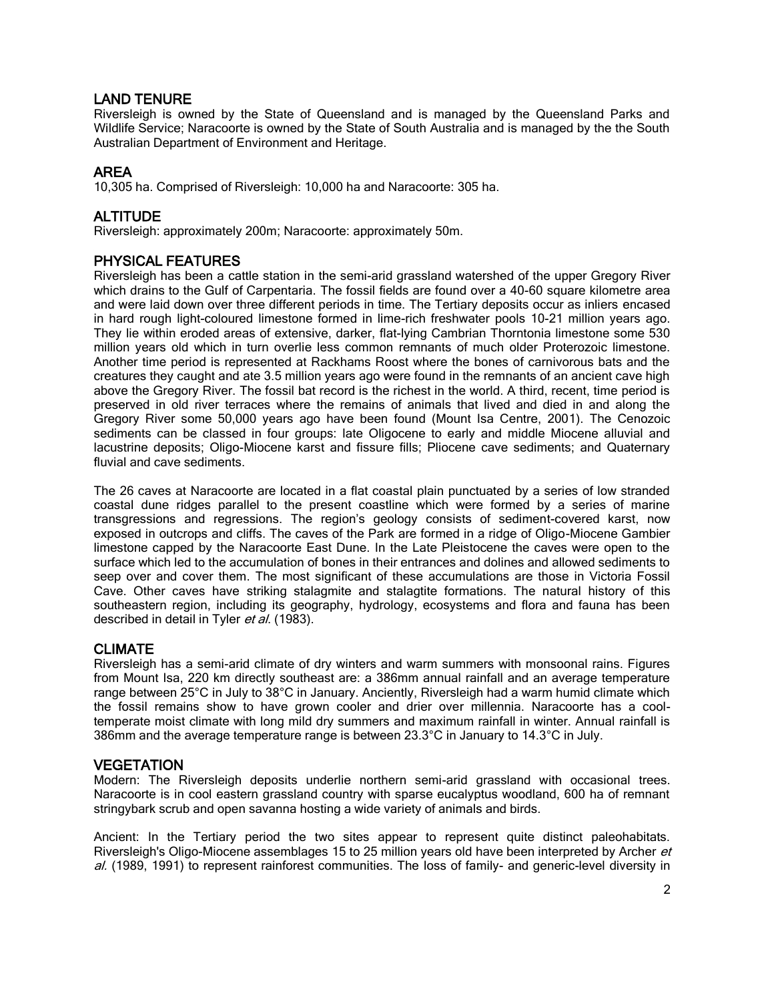## LAND TENURE

Riversleigh is owned by the State of Queensland and is managed by the Queensland Parks and Wildlife Service; Naracoorte is owned by the State of South Australia and is managed by the the South Australian Department of Environment and Heritage.

## AREA

10,305 ha. Comprised of Riversleigh: 10,000 ha and Naracoorte: 305 ha.

## ALTITUDE

Riversleigh: approximately 200m; Naracoorte: approximately 50m.

## PHYSICAL FEATURES

Riversleigh has been a cattle station in the semi-arid grassland watershed of the upper Gregory River which drains to the Gulf of Carpentaria. The fossil fields are found over a 40-60 square kilometre area and were laid down over three different periods in time. The Tertiary deposits occur as inliers encased in hard rough light-coloured limestone formed in lime-rich freshwater pools 10-21 million years ago. They lie within eroded areas of extensive, darker, flat-lying Cambrian Thorntonia limestone some 530 million years old which in turn overlie less common remnants of much older Proterozoic limestone. Another time period is represented at Rackhams Roost where the bones of carnivorous bats and the creatures they caught and ate 3.5 million years ago were found in the remnants of an ancient cave high above the Gregory River. The fossil bat record is the richest in the world. A third, recent, time period is preserved in old river terraces where the remains of animals that lived and died in and along the Gregory River some 50,000 years ago have been found (Mount Isa Centre, 2001). The Cenozoic sediments can be classed in four groups: late Oligocene to early and middle Miocene alluvial and lacustrine deposits; Oligo-Miocene karst and fissure fills; Pliocene cave sediments; and Quaternary fluvial and cave sediments.

The 26 caves at Naracoorte are located in a flat coastal plain punctuated by a series of low stranded coastal dune ridges parallel to the present coastline which were formed by a series of marine transgressions and regressions. The region's geology consists of sediment-covered karst, now exposed in outcrops and cliffs. The caves of the Park are formed in a ridge of Oligo-Miocene Gambier limestone capped by the Naracoorte East Dune. In the Late Pleistocene the caves were open to the surface which led to the accumulation of bones in their entrances and dolines and allowed sediments to seep over and cover them. The most significant of these accumulations are those in Victoria Fossil Cave. Other caves have striking stalagmite and stalagtite formations. The natural history of this southeastern region, including its geography, hydrology, ecosystems and flora and fauna has been described in detail in Tyler et al. (1983).

#### **CLIMATE**

Riversleigh has a semi-arid climate of dry winters and warm summers with monsoonal rains. Figures from Mount Isa, 220 km directly southeast are: a 386mm annual rainfall and an average temperature range between 25°C in July to 38°C in January. Anciently, Riversleigh had a warm humid climate which the fossil remains show to have grown cooler and drier over millennia. Naracoorte has a cooltemperate moist climate with long mild dry summers and maximum rainfall in winter. Annual rainfall is 386mm and the average temperature range is between 23.3°C in January to 14.3°C in July.

#### **VEGETATION**

Modern: The Riversleigh deposits underlie northern semi-arid grassland with occasional trees. Naracoorte is in cool eastern grassland country with sparse eucalyptus woodland, 600 ha of remnant stringybark scrub and open savanna hosting a wide variety of animals and birds.

Ancient: In the Tertiary period the two sites appear to represent quite distinct paleohabitats. Riversleigh's Oligo-Miocene assemblages 15 to 25 million years old have been interpreted by Archer et al. (1989, 1991) to represent rainforest communities. The loss of family- and generic-level diversity in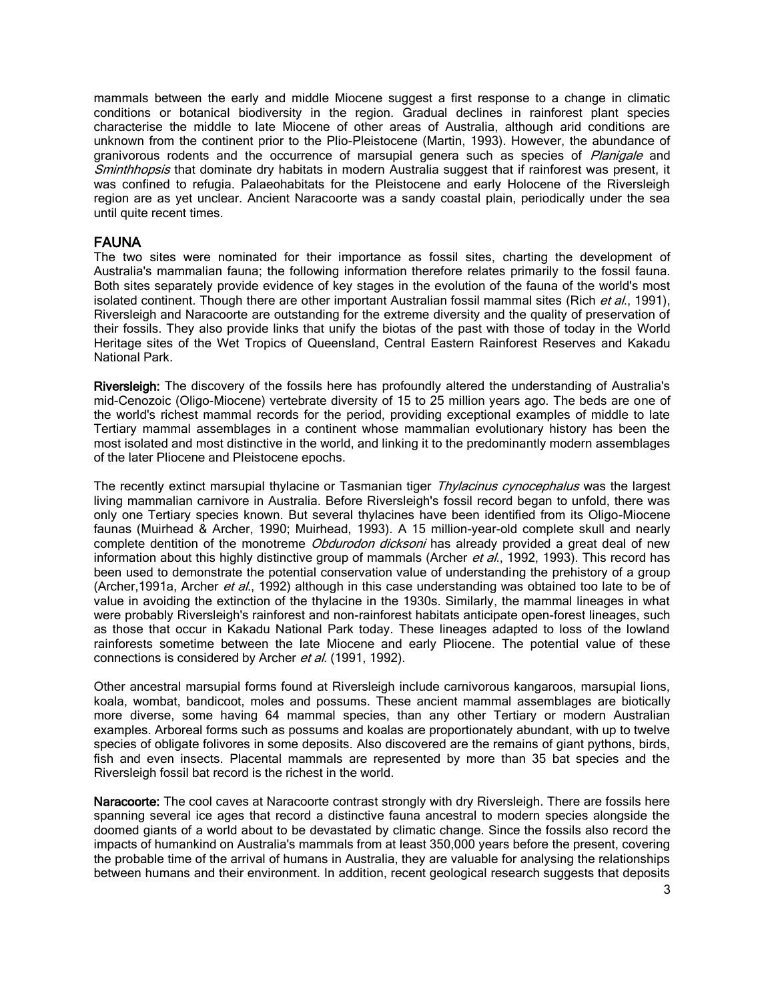mammals between the early and middle Miocene suggest a first response to a change in climatic conditions or botanical biodiversity in the region. Gradual declines in rainforest plant species characterise the middle to late Miocene of other areas of Australia, although arid conditions are unknown from the continent prior to the Plio-Pleistocene (Martin, 1993). However, the abundance of granivorous rodents and the occurrence of marsupial genera such as species of Planigale and Sminthhopsis that dominate dry habitats in modern Australia suggest that if rainforest was present, it was confined to refugia. Palaeohabitats for the Pleistocene and early Holocene of the Riversleigh region are as yet unclear. Ancient Naracoorte was a sandy coastal plain, periodically under the sea until quite recent times.

## FAUNA

The two sites were nominated for their importance as fossil sites, charting the development of Australia's mammalian fauna; the following information therefore relates primarily to the fossil fauna. Both sites separately provide evidence of key stages in the evolution of the fauna of the world's most isolated continent. Though there are other important Australian fossil mammal sites (Rich et al., 1991), Riversleigh and Naracoorte are outstanding for the extreme diversity and the quality of preservation of their fossils. They also provide links that unify the biotas of the past with those of today in the World Heritage sites of the Wet Tropics of Queensland, Central Eastern Rainforest Reserves and Kakadu National Park.

Riversleigh: The discovery of the fossils here has profoundly altered the understanding of Australia's mid-Cenozoic (Oligo-Miocene) vertebrate diversity of 15 to 25 million years ago. The beds are one of the world's richest mammal records for the period, providing exceptional examples of middle to late Tertiary mammal assemblages in a continent whose mammalian evolutionary history has been the most isolated and most distinctive in the world, and linking it to the predominantly modern assemblages of the later Pliocene and Pleistocene epochs.

The recently extinct marsupial thylacine or Tasmanian tiger Thylacinus cynocephalus was the largest living mammalian carnivore in Australia. Before Riversleigh's fossil record began to unfold, there was only one Tertiary species known. But several thylacines have been identified from its Oligo-Miocene faunas (Muirhead & Archer, 1990; Muirhead, 1993). A 15 million-year-old complete skull and nearly complete dentition of the monotreme *Obdurodon dicksoni* has already provided a great deal of new information about this highly distinctive group of mammals (Archer et al., 1992, 1993). This record has been used to demonstrate the potential conservation value of understanding the prehistory of a group (Archer, 1991a, Archer et al., 1992) although in this case understanding was obtained too late to be of value in avoiding the extinction of the thylacine in the 1930s. Similarly, the mammal lineages in what were probably Riversleigh's rainforest and non-rainforest habitats anticipate open-forest lineages, such as those that occur in Kakadu National Park today. These lineages adapted to loss of the lowland rainforests sometime between the late Miocene and early Pliocene. The potential value of these connections is considered by Archer et al. (1991, 1992).

Other ancestral marsupial forms found at Riversleigh include carnivorous kangaroos, marsupial lions, koala, wombat, bandicoot, moles and possums. These ancient mammal assemblages are biotically more diverse, some having 64 mammal species, than any other Tertiary or modern Australian examples. Arboreal forms such as possums and koalas are proportionately abundant, with up to twelve species of obligate folivores in some deposits. Also discovered are the remains of giant pythons, birds, fish and even insects. Placental mammals are represented by more than 35 bat species and the Riversleigh fossil bat record is the richest in the world.

Naracoorte: The cool caves at Naracoorte contrast strongly with dry Riversleigh. There are fossils here spanning several ice ages that record a distinctive fauna ancestral to modern species alongside the doomed giants of a world about to be devastated by climatic change. Since the fossils also record the impacts of humankind on Australia's mammals from at least 350,000 years before the present, covering the probable time of the arrival of humans in Australia, they are valuable for analysing the relationships between humans and their environment. In addition, recent geological research suggests that deposits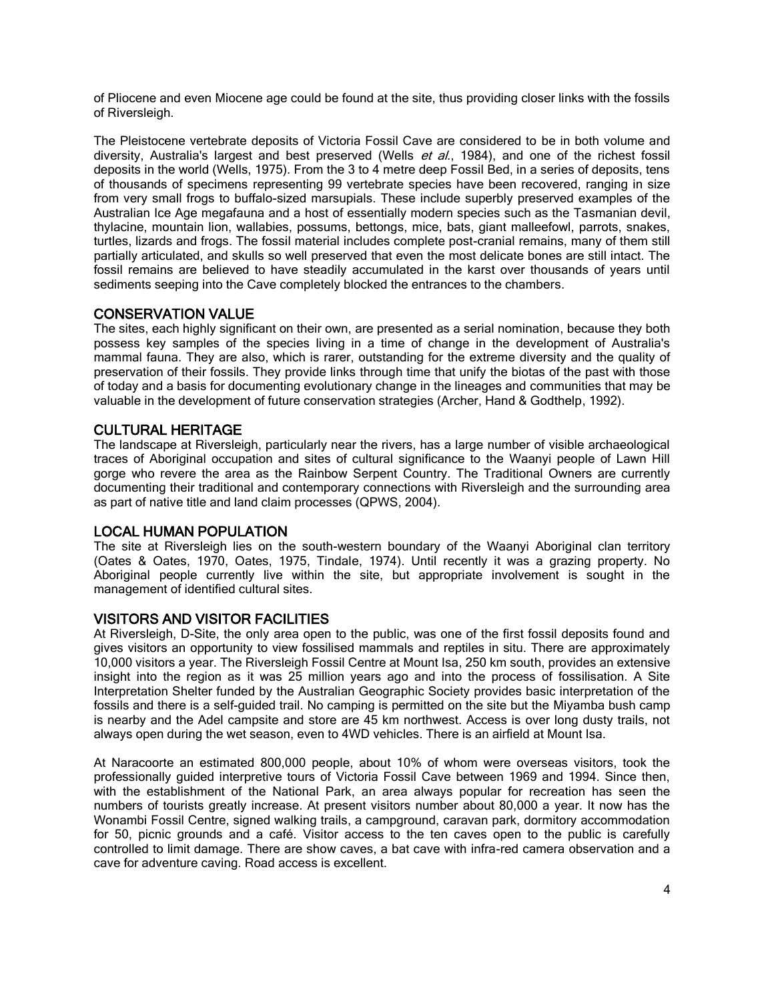of Pliocene and even Miocene age could be found at the site, thus providing closer links with the fossils of Riversleigh.

The Pleistocene vertebrate deposits of Victoria Fossil Cave are considered to be in both volume and diversity, Australia's largest and best preserved (Wells et al., 1984), and one of the richest fossil deposits in the world (Wells, 1975). From the 3 to 4 metre deep Fossil Bed, in a series of deposits, tens of thousands of specimens representing 99 vertebrate species have been recovered, ranging in size from very small frogs to buffalo-sized marsupials. These include superbly preserved examples of the Australian Ice Age megafauna and a host of essentially modern species such as the Tasmanian devil, thylacine, mountain lion, wallabies, possums, bettongs, mice, bats, giant malleefowl, parrots, snakes, turtles, lizards and frogs. The fossil material includes complete post-cranial remains, many of them still partially articulated, and skulls so well preserved that even the most delicate bones are still intact. The fossil remains are believed to have steadily accumulated in the karst over thousands of years until sediments seeping into the Cave completely blocked the entrances to the chambers.

#### CONSERVATION VALUE

The sites, each highly significant on their own, are presented as a serial nomination, because they both possess key samples of the species living in a time of change in the development of Australia's mammal fauna. They are also, which is rarer, outstanding for the extreme diversity and the quality of preservation of their fossils. They provide links through time that unify the biotas of the past with those of today and a basis for documenting evolutionary change in the lineages and communities that may be valuable in the development of future conservation strategies (Archer, Hand & Godthelp, 1992).

#### CULTURAL HERITAGE

The landscape at Riversleigh, particularly near the rivers, has a large number of visible archaeological traces of Aboriginal occupation and sites of cultural significance to the Waanyi people of Lawn Hill gorge who revere the area as the Rainbow Serpent Country. The Traditional Owners are currently documenting their traditional and contemporary connections with Riversleigh and the surrounding area as part of native title and land claim processes (QPWS, 2004).

#### LOCAL HUMAN POPULATION

The site at Riversleigh lies on the south-western boundary of the Waanyi Aboriginal clan territory (Oates & Oates, 1970, Oates, 1975, Tindale, 1974). Until recently it was a grazing property. No Aboriginal people currently live within the site, but appropriate involvement is sought in the management of identified cultural sites.

#### VISITORS AND VISITOR FACILITIES

At Riversleigh, D-Site, the only area open to the public, was one of the first fossil deposits found and gives visitors an opportunity to view fossilised mammals and reptiles in situ. There are approximately 10,000 visitors a year. The Riversleigh Fossil Centre at Mount Isa, 250 km south, provides an extensive insight into the region as it was 25 million years ago and into the process of fossilisation. A Site Interpretation Shelter funded by the Australian Geographic Society provides basic interpretation of the fossils and there is a self-guided trail. No camping is permitted on the site but the Miyamba bush camp is nearby and the Adel campsite and store are 45 km northwest. Access is over long dusty trails, not always open during the wet season, even to 4WD vehicles. There is an airfield at Mount Isa.

At Naracoorte an estimated 800,000 people, about 10% of whom were overseas visitors, took the professionally guided interpretive tours of Victoria Fossil Cave between 1969 and 1994. Since then, with the establishment of the National Park, an area always popular for recreation has seen the numbers of tourists greatly increase. At present visitors number about 80,000 a year. It now has the Wonambi Fossil Centre, signed walking trails, a campground, caravan park, dormitory accommodation for 50, picnic grounds and a café. Visitor access to the ten caves open to the public is carefully controlled to limit damage. There are show caves, a bat cave with infra-red camera observation and a cave for adventure caving. Road access is excellent.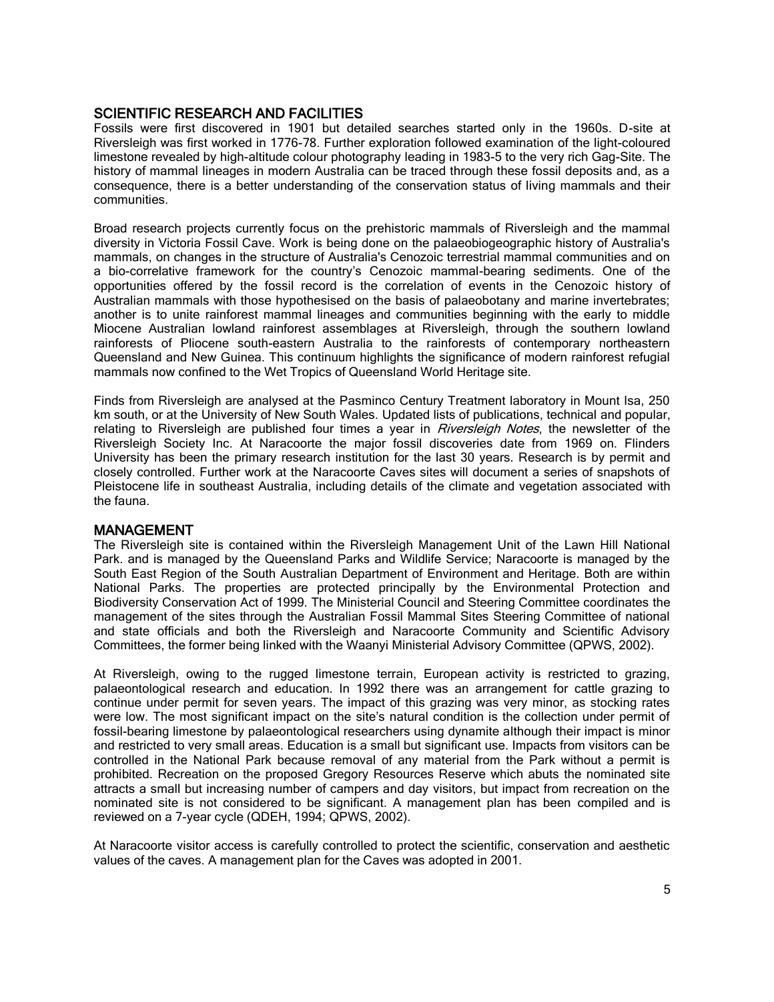#### SCIENTIFIC RESEARCH AND FACILITIES

Fossils were first discovered in 1901 but detailed searches started only in the 1960s. D-site at Riversleigh was first worked in 1776-78. Further exploration followed examination of the light-coloured limestone revealed by high-altitude colour photography leading in 1983-5 to the very rich Gag-Site. The history of mammal lineages in modern Australia can be traced through these fossil deposits and, as a consequence, there is a better understanding of the conservation status of living mammals and their communities.

Broad research projects currently focus on the prehistoric mammals of Riversleigh and the mammal diversity in Victoria Fossil Cave. Work is being done on the palaeobiogeographic history of Australia's mammals, on changes in the structure of Australia's Cenozoic terrestrial mammal communities and on a bio-correlative framework for the country's Cenozoic mammal-bearing sediments. One of the opportunities offered by the fossil record is the correlation of events in the Cenozoic history of Australian mammals with those hypothesised on the basis of palaeobotany and marine invertebrates; another is to unite rainforest mammal lineages and communities beginning with the early to middle Miocene Australian lowland rainforest assemblages at Riversleigh, through the southern lowland rainforests of Pliocene south-eastern Australia to the rainforests of contemporary northeastern Queensland and New Guinea. This continuum highlights the significance of modern rainforest refugial mammals now confined to the Wet Tropics of Queensland World Heritage site.

Finds from Riversleigh are analysed at the Pasminco Century Treatment laboratory in Mount Isa, 250 km south, or at the University of New South Wales. Updated lists of publications, technical and popular, relating to Riversleigh are published four times a year in Riversleigh Notes, the newsletter of the Riversleigh Society Inc. At Naracoorte the major fossil discoveries date from 1969 on. Flinders University has been the primary research institution for the last 30 years. Research is by permit and closely controlled. Further work at the Naracoorte Caves sites will document a series of snapshots of Pleistocene life in southeast Australia, including details of the climate and vegetation associated with the fauna.

#### MANAGEMENT

The Riversleigh site is contained within the Riversleigh Management Unit of the Lawn Hill National Park. and is managed by the Queensland Parks and Wildlife Service; Naracoorte is managed by the South East Region of the South Australian Department of Environment and Heritage. Both are within National Parks. The properties are protected principally by the Environmental Protection and Biodiversity Conservation Act of 1999. The Ministerial Council and Steering Committee coordinates the management of the sites through the Australian Fossil Mammal Sites Steering Committee of national and state officials and both the Riversleigh and Naracoorte Community and Scientific Advisory Committees, the former being linked with the Waanyi Ministerial Advisory Committee (QPWS, 2002).

At Riversleigh, owing to the rugged limestone terrain, European activity is restricted to grazing, palaeontological research and education. In 1992 there was an arrangement for cattle grazing to continue under permit for seven years. The impact of this grazing was very minor, as stocking rates were low. The most significant impact on the site's natural condition is the collection under permit of fossil-bearing limestone by palaeontological researchers using dynamite although their impact is minor and restricted to very small areas. Education is a small but significant use. Impacts from visitors can be controlled in the National Park because removal of any material from the Park without a permit is prohibited. Recreation on the proposed Gregory Resources Reserve which abuts the nominated site attracts a small but increasing number of campers and day visitors, but impact from recreation on the nominated site is not considered to be significant. A management plan has been compiled and is reviewed on a 7-year cycle (QDEH, 1994; QPWS, 2002).

At Naracoorte visitor access is carefully controlled to protect the scientific, conservation and aesthetic values of the caves. A management plan for the Caves was adopted in 2001.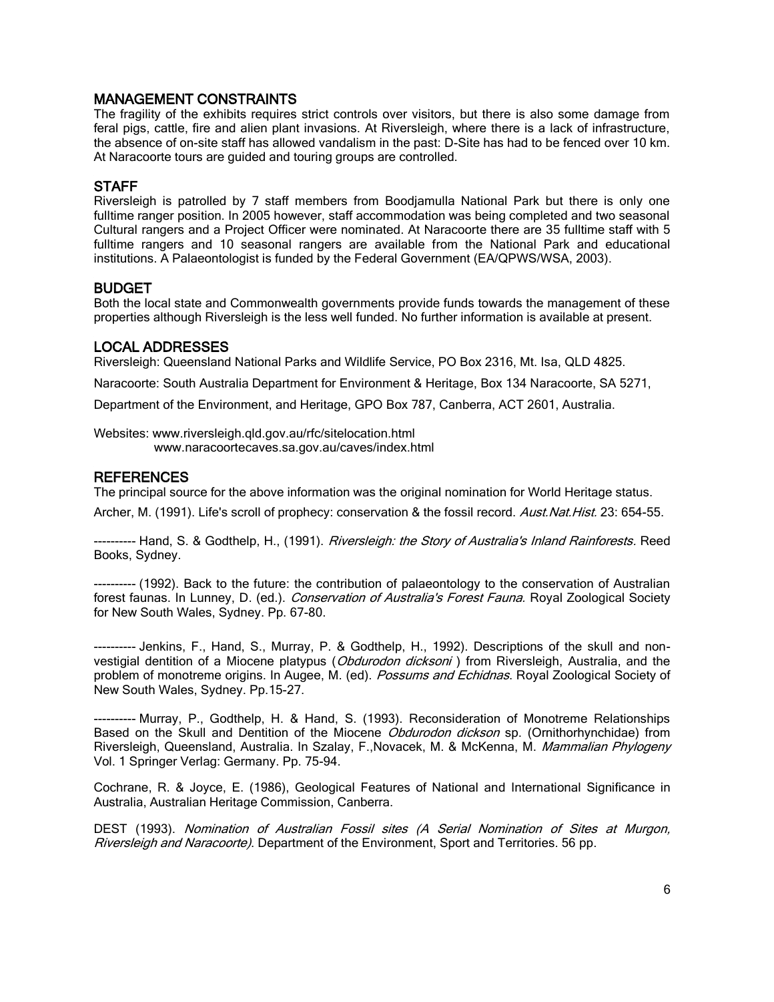## MANAGEMENT CONSTRAINTS

The fragility of the exhibits requires strict controls over visitors, but there is also some damage from feral pigs, cattle, fire and alien plant invasions. At Riversleigh, where there is a lack of infrastructure, the absence of on-site staff has allowed vandalism in the past: D-Site has had to be fenced over 10 km. At Naracoorte tours are guided and touring groups are controlled.

## STAFF

Riversleigh is patrolled by 7 staff members from Boodjamulla National Park but there is only one fulltime ranger position. In 2005 however, staff accommodation was being completed and two seasonal Cultural rangers and a Project Officer were nominated. At Naracoorte there are 35 fulltime staff with 5 fulltime rangers and 10 seasonal rangers are available from the National Park and educational institutions. A Palaeontologist is funded by the Federal Government (EA/QPWS/WSA, 2003).

#### BUDGET

Both the local state and Commonwealth governments provide funds towards the management of these properties although Riversleigh is the less well funded. No further information is available at present.

#### LOCAL ADDRESSES

Riversleigh: Queensland National Parks and Wildlife Service, PO Box 2316, Mt. Isa, QLD 4825.

Naracoorte: South Australia Department for Environment & Heritage, Box 134 Naracoorte, SA 5271,

Department of the Environment, and Heritage, GPO Box 787, Canberra, ACT 2601, Australia.

Websites[: www.riversleigh.qld.gov.au/rfc/sitelocation.html](http://www.riversleigh.qld.gov.au/rfc/sitelocation.html) [www.naracoortecaves.sa.gov.au/caves/index.html](http://www.naracoortecaves.sa.gov.au/caves/index.html)

#### **REFERENCES**

The principal source for the above information was the original nomination for World Heritage status.

Archer, M. (1991). Life's scroll of prophecy: conservation & the fossil record. Aust. Nat. Hist. 23: 654-55.

---------- Hand, S. & Godthelp, H., (1991). *Riversleigh: the Story of Australia's Inland Rainforests.* Reed Books, Sydney.

---------- (1992). Back to the future: the contribution of palaeontology to the conservation of Australian forest faunas. In Lunney, D. (ed.). Conservation of Australia's Forest Fauna. Royal Zoological Society for New South Wales, Sydney. Pp. 67-80.

---------- Jenkins, F., Hand, S., Murray, P. & Godthelp, H., 1992). Descriptions of the skull and nonvestigial dentition of a Miocene platypus (*Obdurodon dicksoni*) from Riversleigh, Australia, and the problem of monotreme origins. In Augee, M. (ed). Possums and Echidnas. Royal Zoological Society of New South Wales, Sydney. Pp.15-27.

--- Murray, P., Godthelp, H. & Hand, S. (1993). Reconsideration of Monotreme Relationships Based on the Skull and Dentition of the Miocene *Obdurodon dickson* sp. (Ornithorhynchidae) from Riversleigh, Queensland, Australia. In Szalay, F.,Novacek, M. & McKenna, M. Mammalian Phylogeny Vol. 1 Springer Verlag: Germany. Pp. 75-94.

Cochrane, R. & Joyce, E. (1986), Geological Features of National and International Significance in Australia, Australian Heritage Commission, Canberra.

DEST (1993). Nomination of Australian Fossil sites (A Serial Nomination of Sites at Murgon, Riversleigh and Naracoorte). Department of the Environment, Sport and Territories. 56 pp.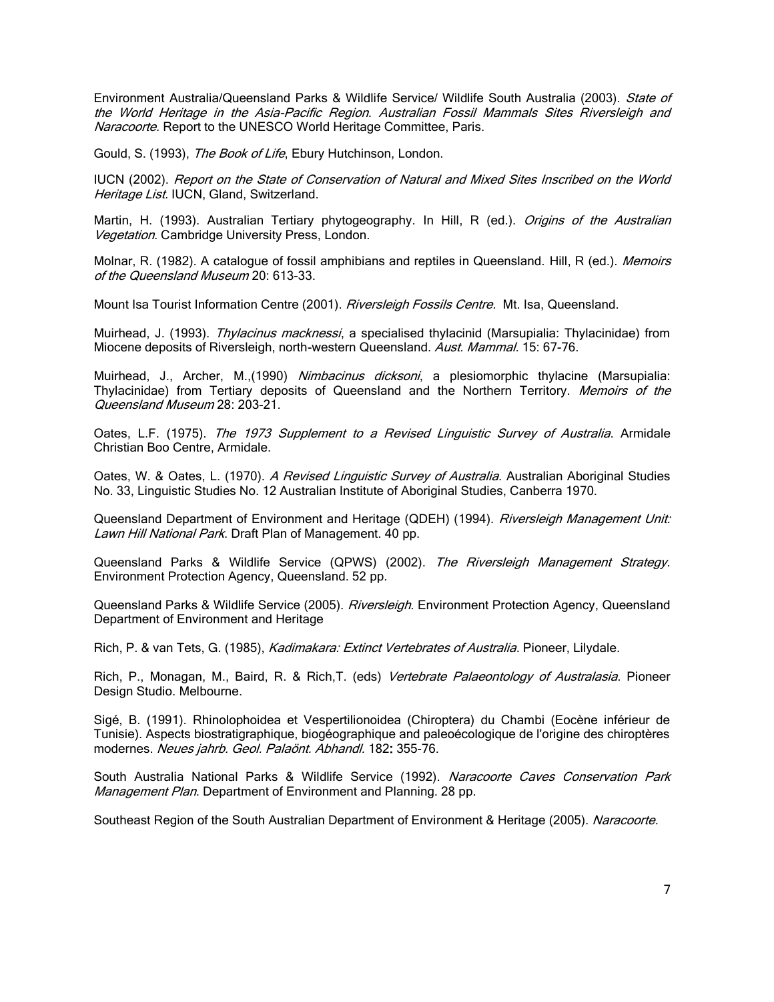Environment Australia/Queensland Parks & Wildlife Service/ Wildlife South Australia (2003). State of the World Heritage in the Asia-Pacific Region. Australian Fossil Mammals Sites Riversleigh and Naracoorte. Report to the UNESCO World Heritage Committee, Paris.

Gould, S. (1993), *The Book of Life*, Ebury Hutchinson, London.

IUCN (2002). Report on the State of Conservation of Natural and Mixed Sites Inscribed on the World Heritage List. IUCN, Gland, Switzerland.

Martin, H. (1993). Australian Tertiary phytogeography. In Hill, R (ed.). *Origins of the Australian* Vegetation. Cambridge University Press, London.

Molnar, R. (1982). A catalogue of fossil amphibians and reptiles in Queensland. Hill, R (ed.). Memoirs of the Queensland Museum 20: 613-33.

Mount Isa Tourist Information Centre (2001). Riversleigh Fossils Centre. Mt. Isa, Queensland.

Muirhead, J. (1993). Thylacinus macknessi, a specialised thylacinid (Marsupialia: Thylacinidae) from Miocene deposits of Riversleigh, north-western Queensland. Aust. Mammal. 15: 67-76.

Muirhead, J., Archer, M.,(1990) Nimbacinus dicksoni, a plesiomorphic thylacine (Marsupialia: Thylacinidae) from Tertiary deposits of Queensland and the Northern Territory. Memoirs of the Queensland Museum 28: 203-21.

Oates, L.F. (1975). The 1973 Supplement to a Revised Linguistic Survey of Australia. Armidale Christian Boo Centre, Armidale.

Oates, W. & Oates, L. (1970). A Revised Linguistic Survey of Australia. Australian Aboriginal Studies No. 33, Linguistic Studies No. 12 Australian Institute of Aboriginal Studies, Canberra 1970.

Queensland Department of Environment and Heritage (QDEH) (1994). Riversleigh Management Unit: Lawn Hill National Park. Draft Plan of Management. 40 pp.

Queensland Parks & Wildlife Service (QPWS) (2002). The Riversleigh Management Strategy. Environment Protection Agency, Queensland. 52 pp.

Queensland Parks & Wildlife Service (2005). Riversleigh. Environment Protection Agency, Queensland Department of Environment and Heritage

Rich, P. & van Tets, G. (1985), Kadimakara: Extinct Vertebrates of Australia. Pioneer, Lilydale.

Rich, P., Monagan, M., Baird, R. & Rich, T. (eds) Vertebrate Palaeontology of Australasia. Pioneer Design Studio. Melbourne.

Sigé, B. (1991). Rhinolophoidea et Vespertilionoidea (Chiroptera) du Chambi (Eocène inférieur de Tunisie). Aspects biostratigraphique, biogéographique and paleoécologique de l'origine des chiroptères modernes. Neues jahrb. Geol. Palaönt. Abhandl. 182: 355-76.

South Australia National Parks & Wildlife Service (1992). Naracoorte Caves Conservation Park Management Plan. Department of Environment and Planning. 28 pp.

Southeast Region of the South Australian Department of Environment & Heritage (2005). Naracoorte.